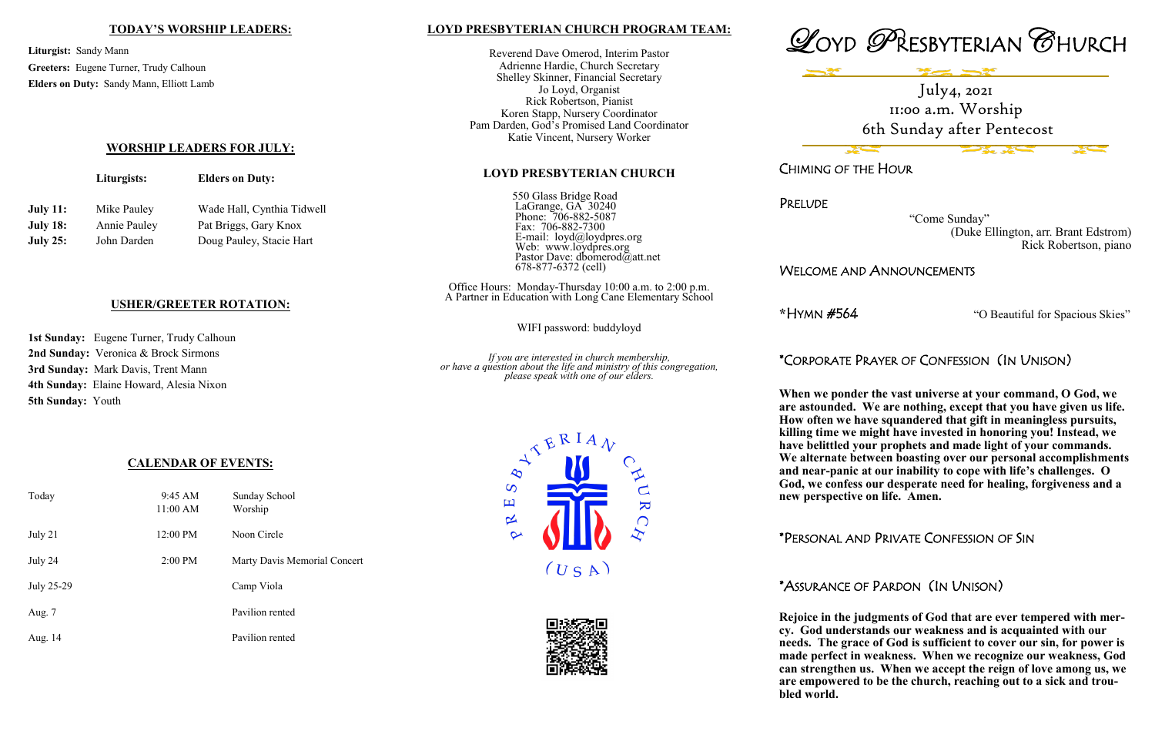### **LOYD PRESBYTERIAN CHURCH PROGRAM TEAM:**

Reverend Dave Omerod, Interim Pastor Adrienne Hardie, Church Secretary Shelley Skinner, Financial Secretary Jo Loyd, Organist Rick Robertson, Pianist Koren Stapp, Nursery Coordinator Pam Darden, God's Promised Land Coordinator Katie Vincent, Nursery Worker

Office Hours: Monday-Thursday 10:00 a.m. to 2:00 p.m. A Partner in Education with Long Cane Elementary School

WIFI password: buddyloyd

*If you are interested in church membership, or have a question about the life and ministry of this congregation, please speak with one of our elders.*







 "Come Sunday" (Duke Ellington, arr. Brant Edstrom) Rick Robertson, piano

### 1e and Announcements

**\***HYMN #564 "O Beautiful for Spacious Skies"

# \*CORPORATE PRAYER OF CONFESSION (IN UNISON)

**When we ponder the vast universe at your command, O God, we are astounded. We are nothing, except that you have given us life. How often we have squandered that gift in meaningless pursuits, killing time we might have invested in honoring you! Instead, we have belittled your prophets and made light of your commands. We alternate between boasting over our personal accomplishments and near-panic at our inability to cope with life's challenges. O God, we confess our desperate need for healing, forgiveness and a new perspective on life. Amen.** 

|                                                       | Liturgists:                                       | <b>Elders on Duty:</b>                                                          | <b>LOYD PRESBYTERIAN CHURCH</b>                                                                                                                                                                                           | LHIMING                  |
|-------------------------------------------------------|---------------------------------------------------|---------------------------------------------------------------------------------|---------------------------------------------------------------------------------------------------------------------------------------------------------------------------------------------------------------------------|--------------------------|
| <b>July 11:</b><br><b>July 18:</b><br><b>July 25:</b> | Mike Pauley<br><b>Annie Pauley</b><br>John Darden | Wade Hall, Cynthia Tidwell<br>Pat Briggs, Gary Knox<br>Doug Pauley, Stacie Hart | 550 Glass Bridge Road<br>LaGrange, GA 30240<br>Phone: 706-882-5087<br>Fax: 706-882-7300<br>E-mail: $\log d(\partial \log \log \log \log$<br>Web: www.loydpres.org<br>Pastor Dave: dbomerod@att.net<br>678-877-6372 (cell) | PRELUDE<br><b>WELCOM</b> |

## \*PERSONAL AND PRIVATE CONFESSION OF SIN

# \*ASSURANCE OF PARDON (IN UNISON)

**Rejoice in the judgments of God that are ever tempered with mercy. God understands our weakness and is acquainted with our needs. The grace of God is sufficient to cover our sin, for power is made perfect in weakness. When we recognize our weakness, God can strengthen us. When we accept the reign of love among us, we are empowered to be the church, reaching out to a sick and troubled world.** 

#### **TODAY'S WORSHIP LEADERS:**

**Liturgist:** Sandy Mann **Greeters:** Eugene Turner, Trudy Calhoun **Elders on Duty:** Sandy Mann, Elliott Lamb

### **WORSHIP LEADERS FOR JULY:**

### **USHER/GREETER ROTATION:**

**1st Sunday:** Eugene Turner, Trudy Calhoun 2nd Sunday: Veronica & Brock Sirmons **3rd Sunday:** Mark Davis, Trent Mann **4th Sunday:** Elaine Howard, Alesia Nixon **5th Sunday:** Youth

# **CALENDAR OF EVENTS:**

| Today      | $9:45 \text{ AM}$<br>11:00 AM | Sunday School<br>Worship     |
|------------|-------------------------------|------------------------------|
| July 21    | 12:00 PM                      | Noon Circle                  |
| July 24    | 2:00 PM                       | Marty Davis Memorial Concert |
| July 25-29 |                               | Camp Viola                   |
| Aug. 7     |                               | Pavilion rented              |
| Aug. 14    |                               | Pavilion rented              |

July4, 2021 11:00 a.m. Worship 6th Sunday after Pentecost

OF THE HOUR